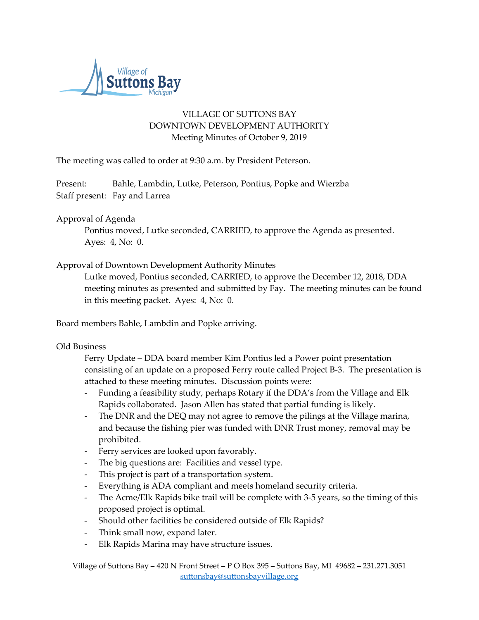

# VILLAGE OF SUTTONS BAY DOWNTOWN DEVELOPMENT AUTHORITY Meeting Minutes of October 9, 2019

The meeting was called to order at 9:30 a.m. by President Peterson.

Present: Bahle, Lambdin, Lutke, Peterson, Pontius, Popke and Wierzba Staff present: Fay and Larrea

# Approval of Agenda

Pontius moved, Lutke seconded, CARRIED, to approve the Agenda as presented. Ayes: 4, No: 0.

### Approval of Downtown Development Authority Minutes

Lutke moved, Pontius seconded, CARRIED, to approve the December 12, 2018, DDA meeting minutes as presented and submitted by Fay. The meeting minutes can be found in this meeting packet. Ayes: 4, No: 0.

Board members Bahle, Lambdin and Popke arriving.

### Old Business

Ferry Update – DDA board member Kim Pontius led a Power point presentation consisting of an update on a proposed Ferry route called Project B-3. The presentation is attached to these meeting minutes. Discussion points were:

- Funding a feasibility study, perhaps Rotary if the DDA's from the Village and Elk Rapids collaborated. Jason Allen has stated that partial funding is likely.
- The DNR and the DEQ may not agree to remove the pilings at the Village marina, and because the fishing pier was funded with DNR Trust money, removal may be prohibited.
- Ferry services are looked upon favorably.
- The big questions are: Facilities and vessel type.
- This project is part of a transportation system.
- Everything is ADA compliant and meets homeland security criteria.
- The Acme/Elk Rapids bike trail will be complete with 3-5 years, so the timing of this proposed project is optimal.
- Should other facilities be considered outside of Elk Rapids?
- Think small now, expand later.
- Elk Rapids Marina may have structure issues.

Village of Suttons Bay – 420 N Front Street – P O Box 395 – Suttons Bay, MI 49682 – 231.271.3051 [suttonsbay@suttonsbayvillage.org](mailto:suttonsbay@suttonsbayvillage.org)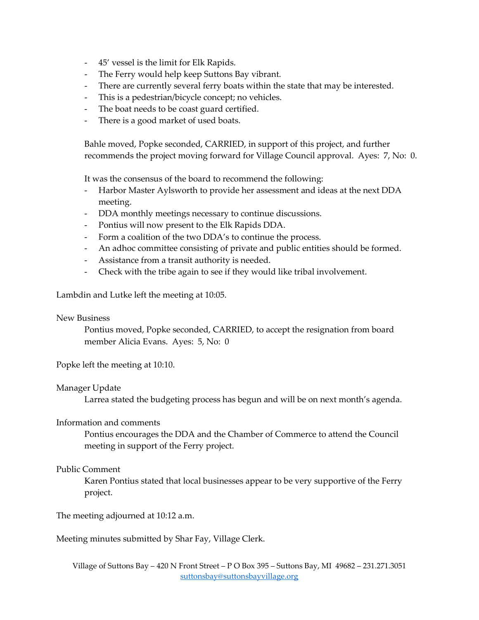- 45' vessel is the limit for Elk Rapids.
- The Ferry would help keep Suttons Bay vibrant.
- There are currently several ferry boats within the state that may be interested.
- This is a pedestrian/bicycle concept; no vehicles.
- The boat needs to be coast guard certified.
- There is a good market of used boats.

Bahle moved, Popke seconded, CARRIED, in support of this project, and further recommends the project moving forward for Village Council approval. Ayes: 7, No: 0.

It was the consensus of the board to recommend the following:

- Harbor Master Aylsworth to provide her assessment and ideas at the next DDA meeting.
- DDA monthly meetings necessary to continue discussions.
- Pontius will now present to the Elk Rapids DDA.
- Form a coalition of the two DDA's to continue the process.
- An adhoc committee consisting of private and public entities should be formed.
- Assistance from a transit authority is needed.
- Check with the tribe again to see if they would like tribal involvement.

Lambdin and Lutke left the meeting at 10:05.

#### New Business

Pontius moved, Popke seconded, CARRIED, to accept the resignation from board member Alicia Evans. Ayes: 5, No: 0

Popke left the meeting at 10:10.

### Manager Update

Larrea stated the budgeting process has begun and will be on next month's agenda.

### Information and comments

Pontius encourages the DDA and the Chamber of Commerce to attend the Council meeting in support of the Ferry project.

### Public Comment

Karen Pontius stated that local businesses appear to be very supportive of the Ferry project.

The meeting adjourned at 10:12 a.m.

Meeting minutes submitted by Shar Fay, Village Clerk.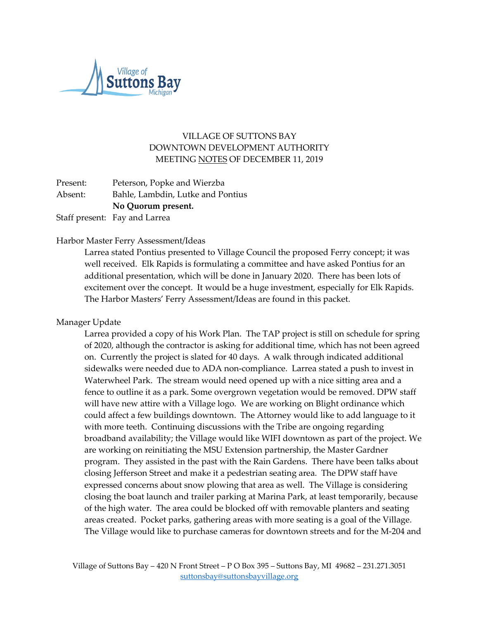

# VILLAGE OF SUTTONS BAY DOWNTOWN DEVELOPMENT AUTHORITY MEETING NOTES OF DECEMBER 11, 2019

| Present: | Peterson, Popke and Wierzba       |
|----------|-----------------------------------|
| Absent:  | Bahle, Lambdin, Lutke and Pontius |
|          | No Quorum present.                |
|          | Staff present: Fay and Larrea     |

### Harbor Master Ferry Assessment/Ideas

Larrea stated Pontius presented to Village Council the proposed Ferry concept; it was well received. Elk Rapids is formulating a committee and have asked Pontius for an additional presentation, which will be done in January 2020. There has been lots of excitement over the concept. It would be a huge investment, especially for Elk Rapids. The Harbor Masters' Ferry Assessment/Ideas are found in this packet.

### Manager Update

Larrea provided a copy of his Work Plan. The TAP project is still on schedule for spring of 2020, although the contractor is asking for additional time, which has not been agreed on. Currently the project is slated for 40 days. A walk through indicated additional sidewalks were needed due to ADA non-compliance. Larrea stated a push to invest in Waterwheel Park. The stream would need opened up with a nice sitting area and a fence to outline it as a park. Some overgrown vegetation would be removed. DPW staff will have new attire with a Village logo. We are working on Blight ordinance which could affect a few buildings downtown. The Attorney would like to add language to it with more teeth. Continuing discussions with the Tribe are ongoing regarding broadband availability; the Village would like WIFI downtown as part of the project. We are working on reinitiating the MSU Extension partnership, the Master Gardner program. They assisted in the past with the Rain Gardens. There have been talks about closing Jefferson Street and make it a pedestrian seating area. The DPW staff have expressed concerns about snow plowing that area as well. The Village is considering closing the boat launch and trailer parking at Marina Park, at least temporarily, because of the high water. The area could be blocked off with removable planters and seating areas created. Pocket parks, gathering areas with more seating is a goal of the Village. The Village would like to purchase cameras for downtown streets and for the M-204 and